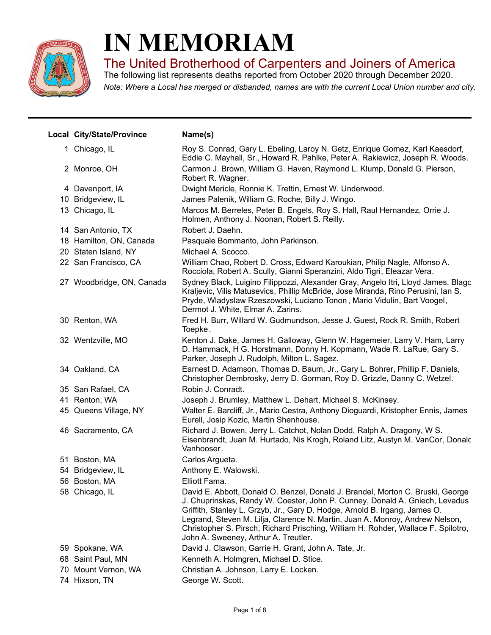

## **IN MEMORIAM**

The United Brotherhood of Carpenters and Joiners of America

*Note: Where a Local has merged or disbanded, names are with the current Local Union number and city.* The following list represents deaths reported from October 2020 through December 2020.

| Local City/State/Province | Name(s)                                                                                                                                                                                                                                                                                                                                                                                                                                                  |
|---------------------------|----------------------------------------------------------------------------------------------------------------------------------------------------------------------------------------------------------------------------------------------------------------------------------------------------------------------------------------------------------------------------------------------------------------------------------------------------------|
| 1 Chicago, IL             | Roy S. Conrad, Gary L. Ebeling, Laroy N. Getz, Enrique Gomez, Karl Kaesdorf,<br>Eddie C. Mayhall, Sr., Howard R. Pahlke, Peter A. Rakiewicz, Joseph R. Woods.                                                                                                                                                                                                                                                                                            |
| 2 Monroe, OH              | Carmon J. Brown, William G. Haven, Raymond L. Klump, Donald G. Pierson,<br>Robert R. Wagner.                                                                                                                                                                                                                                                                                                                                                             |
| 4 Davenport, IA           | Dwight Mericle, Ronnie K. Trettin, Ernest W. Underwood.                                                                                                                                                                                                                                                                                                                                                                                                  |
| 10 Bridgeview, IL         | James Palenik, William G. Roche, Billy J. Wingo.                                                                                                                                                                                                                                                                                                                                                                                                         |
| 13 Chicago, IL            | Marcos M. Berreles, Peter B. Engels, Roy S. Hall, Raul Hernandez, Orrie J.<br>Holmen, Anthony J. Noonan, Robert S. Reilly.                                                                                                                                                                                                                                                                                                                               |
| 14 San Antonio, TX        | Robert J. Daehn.                                                                                                                                                                                                                                                                                                                                                                                                                                         |
| 18 Hamilton, ON, Canada   | Pasquale Bommarito, John Parkinson.                                                                                                                                                                                                                                                                                                                                                                                                                      |
| 20 Staten Island, NY      | Michael A. Scocco.                                                                                                                                                                                                                                                                                                                                                                                                                                       |
| 22 San Francisco, CA      | William Chao, Robert D. Cross, Edward Karoukian, Philip Nagle, Alfonso A.<br>Rocciola, Robert A. Scully, Gianni Speranzini, Aldo Tigri, Eleazar Vera.                                                                                                                                                                                                                                                                                                    |
| 27 Woodbridge, ON, Canada | Sydney Black, Luigino Filippozzi, Alexander Gray, Angelo Itri, Lloyd James, Blagc<br>Kraljevic, Vilis Matusevics, Phillip McBride, Jose Miranda, Rino Perusini, Ian S.<br>Pryde, Wladyslaw Rzeszowski, Luciano Tonon, Mario Vidulin, Bart Voogel,<br>Dermot J. White, Elmar A. Zarins.                                                                                                                                                                   |
| 30 Renton, WA             | Fred H. Burr, Willard W. Gudmundson, Jesse J. Guest, Rock R. Smith, Robert<br>Toepke.                                                                                                                                                                                                                                                                                                                                                                    |
| 32 Wentzville, MO         | Kenton J. Dake, James H. Galloway, Glenn W. Hagemeier, Larry V. Ham, Larry<br>D. Hammack, H G. Horstmann, Donny H. Kopmann, Wade R. LaRue, Gary S.<br>Parker, Joseph J. Rudolph, Milton L. Sagez.                                                                                                                                                                                                                                                        |
| 34 Oakland, CA            | Earnest D. Adamson, Thomas D. Baum, Jr., Gary L. Bohrer, Phillip F. Daniels,<br>Christopher Dembrosky, Jerry D. Gorman, Roy D. Grizzle, Danny C. Wetzel.                                                                                                                                                                                                                                                                                                 |
| 35 San Rafael, CA         | Robin J. Conradt.                                                                                                                                                                                                                                                                                                                                                                                                                                        |
| 41 Renton, WA             | Joseph J. Brumley, Matthew L. Dehart, Michael S. McKinsey.                                                                                                                                                                                                                                                                                                                                                                                               |
| 45 Queens Village, NY     | Walter E. Barcliff, Jr., Mario Cestra, Anthony Dioguardi, Kristopher Ennis, James<br>Eurell, Josip Kozic, Martin Shenhouse.                                                                                                                                                                                                                                                                                                                              |
| 46 Sacramento, CA         | Richard J. Bowen, Jerry L. Catchot, Nolan Dodd, Ralph A. Dragony, W S.<br>Eisenbrandt, Juan M. Hurtado, Nis Krogh, Roland Litz, Austyn M. VanCor, Donalc<br>Vanhooser.                                                                                                                                                                                                                                                                                   |
| 51 Boston, MA             | Carlos Argueta.                                                                                                                                                                                                                                                                                                                                                                                                                                          |
| 54 Bridgeview, IL         | Anthony E. Walowski.                                                                                                                                                                                                                                                                                                                                                                                                                                     |
| 56 Boston, MA             | Elliott Fama.                                                                                                                                                                                                                                                                                                                                                                                                                                            |
| 58 Chicago, IL            | David E. Abbott, Donald O. Benzel, Donald J. Brandel, Morton C. Bruski, George<br>J. Chuprinskas, Randy W. Coester, John P. Cunney, Donald A. Gniech, Levadus<br>Griffith, Stanley L. Grzyb, Jr., Gary D. Hodge, Arnold B. Irgang, James O.<br>Legrand, Steven M. Lilja, Clarence N. Martin, Juan A. Monroy, Andrew Nelson,<br>Christopher S. Pirsch, Richard Prisching, William H. Rohder, Wallace F. Spilotro,<br>John A. Sweeney, Arthur A. Treutler. |
| 59 Spokane, WA            | David J. Clawson, Garrie H. Grant, John A. Tate, Jr.                                                                                                                                                                                                                                                                                                                                                                                                     |
| 68 Saint Paul, MN         | Kenneth A. Holmgren, Michael D. Stice.                                                                                                                                                                                                                                                                                                                                                                                                                   |
| 70 Mount Vernon, WA       | Christian A. Johnson, Larry E. Locken.                                                                                                                                                                                                                                                                                                                                                                                                                   |
| 74 Hixson, TN             | George W. Scott.                                                                                                                                                                                                                                                                                                                                                                                                                                         |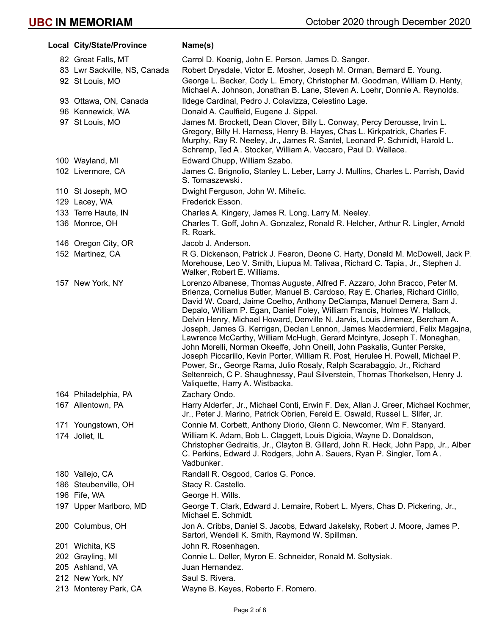| Local City/State/Province    | Name(s)                                                                                                                                                                                                                                                                                                                                                                                                                                                                                                                                                                                                                                                                                                                                                                                                                                                                                                                 |
|------------------------------|-------------------------------------------------------------------------------------------------------------------------------------------------------------------------------------------------------------------------------------------------------------------------------------------------------------------------------------------------------------------------------------------------------------------------------------------------------------------------------------------------------------------------------------------------------------------------------------------------------------------------------------------------------------------------------------------------------------------------------------------------------------------------------------------------------------------------------------------------------------------------------------------------------------------------|
| 82 Great Falls, MT           | Carrol D. Koenig, John E. Person, James D. Sanger.                                                                                                                                                                                                                                                                                                                                                                                                                                                                                                                                                                                                                                                                                                                                                                                                                                                                      |
| 83 Lwr Sackville, NS, Canada | Robert Drysdale, Victor E. Mosher, Joseph M. Orman, Bernard E. Young.                                                                                                                                                                                                                                                                                                                                                                                                                                                                                                                                                                                                                                                                                                                                                                                                                                                   |
| 92 St Louis, MO              | George L. Becker, Cody L. Emory, Christopher M. Goodman, William D. Henty,<br>Michael A. Johnson, Jonathan B. Lane, Steven A. Loehr, Donnie A. Reynolds.                                                                                                                                                                                                                                                                                                                                                                                                                                                                                                                                                                                                                                                                                                                                                                |
| 93 Ottawa, ON, Canada        | Ildege Cardinal, Pedro J. Colavizza, Celestino Lage.                                                                                                                                                                                                                                                                                                                                                                                                                                                                                                                                                                                                                                                                                                                                                                                                                                                                    |
| 96 Kennewick, WA             | Donald A. Caulfield, Eugene J. Sippel.                                                                                                                                                                                                                                                                                                                                                                                                                                                                                                                                                                                                                                                                                                                                                                                                                                                                                  |
| 97 St Louis, MO              | James M. Brockett, Dean Clover, Billy L. Conway, Percy Derousse, Irvin L.<br>Gregory, Billy H. Harness, Henry B. Hayes, Chas L. Kirkpatrick, Charles F.<br>Murphy, Ray R. Neeley, Jr., James R. Santel, Leonard P. Schmidt, Harold L.<br>Schremp, Ted A. Stocker, William A. Vaccaro, Paul D. Wallace.                                                                                                                                                                                                                                                                                                                                                                                                                                                                                                                                                                                                                  |
| 100 Wayland, MI              | Edward Chupp, William Szabo.                                                                                                                                                                                                                                                                                                                                                                                                                                                                                                                                                                                                                                                                                                                                                                                                                                                                                            |
| 102 Livermore, CA            | James C. Brignolio, Stanley L. Leber, Larry J. Mullins, Charles L. Parrish, David<br>S. Tomaszewski.                                                                                                                                                                                                                                                                                                                                                                                                                                                                                                                                                                                                                                                                                                                                                                                                                    |
| 110 St Joseph, MO            | Dwight Ferguson, John W. Mihelic.                                                                                                                                                                                                                                                                                                                                                                                                                                                                                                                                                                                                                                                                                                                                                                                                                                                                                       |
| 129 Lacey, WA                | Frederick Esson.                                                                                                                                                                                                                                                                                                                                                                                                                                                                                                                                                                                                                                                                                                                                                                                                                                                                                                        |
| 133 Terre Haute, IN          | Charles A. Kingery, James R. Long, Larry M. Neeley.                                                                                                                                                                                                                                                                                                                                                                                                                                                                                                                                                                                                                                                                                                                                                                                                                                                                     |
| 136 Monroe, OH               | Charles T. Goff, John A. Gonzalez, Ronald R. Helcher, Arthur R. Lingler, Arnold<br>R. Roark.                                                                                                                                                                                                                                                                                                                                                                                                                                                                                                                                                                                                                                                                                                                                                                                                                            |
| 146 Oregon City, OR          | Jacob J. Anderson.                                                                                                                                                                                                                                                                                                                                                                                                                                                                                                                                                                                                                                                                                                                                                                                                                                                                                                      |
| 152 Martinez, CA             | R G. Dickenson, Patrick J. Fearon, Deone C. Harty, Donald M. McDowell, Jack P.<br>Morehouse, Leo V. Smith, Liupua M. Talivaa, Richard C. Tapia, Jr., Stephen J.<br>Walker, Robert E. Williams.                                                                                                                                                                                                                                                                                                                                                                                                                                                                                                                                                                                                                                                                                                                          |
| 157 New York, NY             | Lorenzo Albanese, Thomas Auguste, Alfred F. Azzaro, John Bracco, Peter M.<br>Brienza, Cornelius Butler, Manuel B. Cardoso, Ray E. Charles, Richard Cirillo,<br>David W. Coard, Jaime Coelho, Anthony DeCiampa, Manuel Demera, Sam J.<br>Depalo, William P. Egan, Daniel Foley, William Francis, Holmes W. Hallock,<br>Delvin Henry, Michael Howard, Denville N. Jarvis, Louis Jimenez, Bercham A.<br>Joseph, James G. Kerrigan, Declan Lennon, James Macdermierd, Felix Magajna,<br>Lawrence McCarthy, William McHugh, Gerard Mcintyre, Joseph T. Monaghan,<br>John Morelli, Norman Okeeffe, John Oneill, John Paskalis, Gunter Perske,<br>Joseph Piccarillo, Kevin Porter, William R. Post, Herulee H. Powell, Michael P.<br>Power, Sr., George Rama, Julio Rosaly, Ralph Scarabaggio, Jr., Richard<br>Seltenreich, C P. Shaughnessy, Paul Silverstein, Thomas Thorkelsen, Henry J.<br>Valiquette, Harry A. Wistbacka. |
| 164 Philadelphia, PA         | Zachary Ondo.                                                                                                                                                                                                                                                                                                                                                                                                                                                                                                                                                                                                                                                                                                                                                                                                                                                                                                           |
| 167 Allentown, PA            | Harry Alderfer, Jr., Michael Conti, Erwin F. Dex, Allan J. Greer, Michael Kochmer,<br>Jr., Peter J. Marino, Patrick Obrien, Fereld E. Oswald, Russel L. Slifer, Jr.                                                                                                                                                                                                                                                                                                                                                                                                                                                                                                                                                                                                                                                                                                                                                     |
| 171 Youngstown, OH           | Connie M. Corbett, Anthony Diorio, Glenn C. Newcomer, Wm F. Stanyard.                                                                                                                                                                                                                                                                                                                                                                                                                                                                                                                                                                                                                                                                                                                                                                                                                                                   |
| 174 Joliet, IL               | William K. Adam, Bob L. Claggett, Louis Digioia, Wayne D. Donaldson,<br>Christopher Gedraitis, Jr., Clayton B. Gillard, John R. Heck, John Papp, Jr., Alber<br>C. Perkins, Edward J. Rodgers, John A. Sauers, Ryan P. Singler, Tom A.<br>Vadbunker.                                                                                                                                                                                                                                                                                                                                                                                                                                                                                                                                                                                                                                                                     |
| 180 Vallejo, CA              | Randall R. Osgood, Carlos G. Ponce.                                                                                                                                                                                                                                                                                                                                                                                                                                                                                                                                                                                                                                                                                                                                                                                                                                                                                     |
| 186 Steubenville, OH         | Stacy R. Castello.                                                                                                                                                                                                                                                                                                                                                                                                                                                                                                                                                                                                                                                                                                                                                                                                                                                                                                      |
| 196 Fife, WA                 | George H. Wills.                                                                                                                                                                                                                                                                                                                                                                                                                                                                                                                                                                                                                                                                                                                                                                                                                                                                                                        |
| 197 Upper Marlboro, MD       | George T. Clark, Edward J. Lemaire, Robert L. Myers, Chas D. Pickering, Jr.,<br>Michael E. Schmidt.                                                                                                                                                                                                                                                                                                                                                                                                                                                                                                                                                                                                                                                                                                                                                                                                                     |
| 200 Columbus, OH             | Jon A. Cribbs, Daniel S. Jacobs, Edward Jakelsky, Robert J. Moore, James P.<br>Sartori, Wendell K. Smith, Raymond W. Spillman.                                                                                                                                                                                                                                                                                                                                                                                                                                                                                                                                                                                                                                                                                                                                                                                          |
| 201 Wichita, KS              | John R. Rosenhagen.                                                                                                                                                                                                                                                                                                                                                                                                                                                                                                                                                                                                                                                                                                                                                                                                                                                                                                     |
| 202 Grayling, MI             | Connie L. Deller, Myron E. Schneider, Ronald M. Soltysiak.                                                                                                                                                                                                                                                                                                                                                                                                                                                                                                                                                                                                                                                                                                                                                                                                                                                              |
| 205 Ashland, VA              | Juan Hernandez.                                                                                                                                                                                                                                                                                                                                                                                                                                                                                                                                                                                                                                                                                                                                                                                                                                                                                                         |
| 212 New York, NY             | Saul S. Rivera.                                                                                                                                                                                                                                                                                                                                                                                                                                                                                                                                                                                                                                                                                                                                                                                                                                                                                                         |
| 213 Monterey Park, CA        | Wayne B. Keyes, Roberto F. Romero.                                                                                                                                                                                                                                                                                                                                                                                                                                                                                                                                                                                                                                                                                                                                                                                                                                                                                      |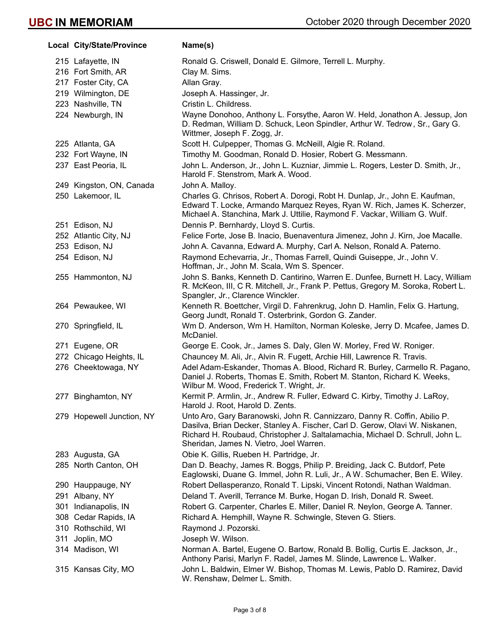|     | Local City/State/Province | Name(s)                                                                                                                                                                                                                                                                               |
|-----|---------------------------|---------------------------------------------------------------------------------------------------------------------------------------------------------------------------------------------------------------------------------------------------------------------------------------|
|     | 215 Lafayette, IN         | Ronald G. Criswell, Donald E. Gilmore, Terrell L. Murphy.                                                                                                                                                                                                                             |
|     | 216 Fort Smith, AR        | Clay M. Sims.                                                                                                                                                                                                                                                                         |
|     | 217 Foster City, CA       | Allan Gray.                                                                                                                                                                                                                                                                           |
|     | 219 Wilmington, DE        | Joseph A. Hassinger, Jr.                                                                                                                                                                                                                                                              |
|     | 223 Nashville, TN         | Cristin L. Childress.                                                                                                                                                                                                                                                                 |
|     | 224 Newburgh, IN          | Wayne Donohoo, Anthony L. Forsythe, Aaron W. Held, Jonathon A. Jessup, Jon<br>D. Redman, William D. Schuck, Leon Spindler, Arthur W. Tedrow, Sr., Gary G.<br>Wittmer, Joseph F. Zogg, Jr.                                                                                             |
|     | 225 Atlanta, GA           | Scott H. Culpepper, Thomas G. McNeill, Algie R. Roland.                                                                                                                                                                                                                               |
|     | 232 Fort Wayne, IN        | Timothy M. Goodman, Ronald D. Hosier, Robert G. Messmann.                                                                                                                                                                                                                             |
|     | 237 East Peoria, IL       | John L. Anderson, Jr., John L. Kuzniar, Jimmie L. Rogers, Lester D. Smith, Jr.,<br>Harold F. Stenstrom, Mark A. Wood.                                                                                                                                                                 |
|     | 249 Kingston, ON, Canada  | John A. Malloy.                                                                                                                                                                                                                                                                       |
|     | 250 Lakemoor, IL          | Charles G. Chrisos, Robert A. Dorogi, Robt H. Dunlap, Jr., John E. Kaufman,<br>Edward T. Locke, Armando Marquez Reyes, Ryan W. Rich, James K. Scherzer,<br>Michael A. Stanchina, Mark J. Uttilie, Raymond F. Vackar, William G. Wulf.                                                 |
|     | 251 Edison, NJ            | Dennis P. Bernhardy, Lloyd S. Curtis.                                                                                                                                                                                                                                                 |
|     | 252 Atlantic City, NJ     | Felice Forte, Jose B. Inacio, Buenaventura Jimenez, John J. Kirn, Joe Macalle.                                                                                                                                                                                                        |
|     | 253 Edison, NJ            | John A. Cavanna, Edward A. Murphy, Carl A. Nelson, Ronald A. Paterno.                                                                                                                                                                                                                 |
|     | 254 Edison, NJ            | Raymond Echevarria, Jr., Thomas Farrell, Quindi Guiseppe, Jr., John V.<br>Hoffman, Jr., John M. Scala, Wm S. Spencer.                                                                                                                                                                 |
|     | 255 Hammonton, NJ         | John S. Banks, Kenneth D. Cantirino, Warren E. Dunfee, Burnett H. Lacy, William<br>R. McKeon, III, C R. Mitchell, Jr., Frank P. Pettus, Gregory M. Soroka, Robert L.<br>Spangler, Jr., Clarence Winckler.                                                                             |
|     | 264 Pewaukee, WI          | Kenneth R. Boettcher, Virgil D. Fahrenkrug, John D. Hamlin, Felix G. Hartung,<br>Georg Jundt, Ronald T. Osterbrink, Gordon G. Zander.                                                                                                                                                 |
|     | 270 Springfield, IL       | Wm D. Anderson, Wm H. Hamilton, Norman Koleske, Jerry D. Mcafee, James D.<br>McDaniel.                                                                                                                                                                                                |
|     | 271 Eugene, OR            | George E. Cook, Jr., James S. Daly, Glen W. Morley, Fred W. Roniger.                                                                                                                                                                                                                  |
|     | 272 Chicago Heights, IL   | Chauncey M. Ali, Jr., Alvin R. Fugett, Archie Hill, Lawrence R. Travis.                                                                                                                                                                                                               |
|     | 276 Cheektowaga, NY       | Adel Adam-Eskander, Thomas A. Blood, Richard R. Burley, Carmello R. Pagano,<br>Daniel J. Roberts, Thomas E. Smith, Robert M. Stanton, Richard K. Weeks,<br>Wilbur M. Wood, Frederick T. Wright, Jr.                                                                                   |
|     | 277 Binghamton, NY        | Kermit P. Armlin, Jr., Andrew R. Fuller, Edward C. Kirby, Timothy J. LaRoy,<br>Harold J. Root, Harold D. Zents.                                                                                                                                                                       |
|     | 279 Hopewell Junction, NY | Unto Aro, Gary Baranowski, John R. Cannizzaro, Danny R. Coffin, Abilio P.<br>Dasilva, Brian Decker, Stanley A. Fischer, Carl D. Gerow, Olavi W. Niskanen,<br>Richard H. Roubaud, Christopher J. Saltalamachia, Michael D. Schrull, John L.<br>Sheridan, James N. Vietro, Joel Warren. |
|     | 283 Augusta, GA           | Obie K. Gillis, Rueben H. Partridge, Jr.                                                                                                                                                                                                                                              |
|     | 285 North Canton, OH      | Dan D. Beachy, James R. Boggs, Philip P. Breiding, Jack C. Butdorf, Pete<br>Eaglowski, Duane G. Immel, John R. Luli, Jr., A W. Schumacher, Ben E. Wiley.                                                                                                                              |
|     | 290 Hauppauge, NY         | Robert Dellasperanzo, Ronald T. Lipski, Vincent Rotondi, Nathan Waldman.                                                                                                                                                                                                              |
|     | 291 Albany, NY            | Deland T. Averill, Terrance M. Burke, Hogan D. Irish, Donald R. Sweet.                                                                                                                                                                                                                |
|     | 301 Indianapolis, IN      | Robert G. Carpenter, Charles E. Miller, Daniel R. Neylon, George A. Tanner.                                                                                                                                                                                                           |
|     | 308 Cedar Rapids, IA      | Richard A. Hemphill, Wayne R. Schwingle, Steven G. Stiers.                                                                                                                                                                                                                            |
|     | 310 Rothschild, WI        | Raymond J. Pozorski.                                                                                                                                                                                                                                                                  |
| 311 | Joplin, MO                | Joseph W. Wilson.                                                                                                                                                                                                                                                                     |
|     | 314 Madison, WI           | Norman A. Bartel, Eugene O. Bartow, Ronald B. Bollig, Curtis E. Jackson, Jr.,<br>Anthony Parisi, Marlyn F. Radel, James M. Slinde, Lawrence L. Walker.                                                                                                                                |
|     | 315 Kansas City, MO       | John L. Baldwin, Elmer W. Bishop, Thomas M. Lewis, Pablo D. Ramirez, David<br>W. Renshaw, Delmer L. Smith.                                                                                                                                                                            |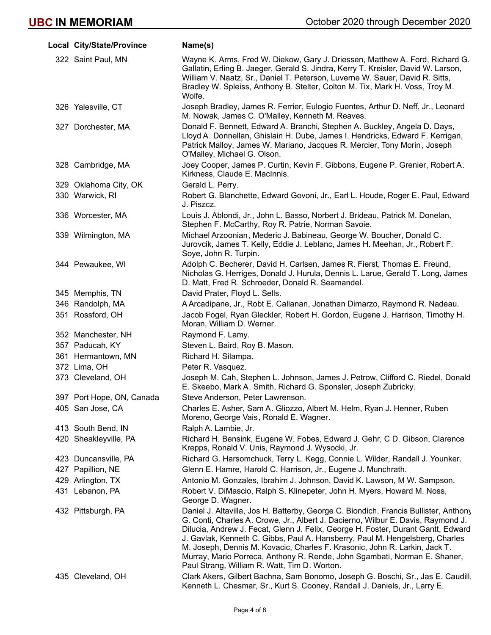| Local City/State/Province | Name(s)                                                                                                                                                                                                                                                                                                                                                                                                                                                                                                                                                 |
|---------------------------|---------------------------------------------------------------------------------------------------------------------------------------------------------------------------------------------------------------------------------------------------------------------------------------------------------------------------------------------------------------------------------------------------------------------------------------------------------------------------------------------------------------------------------------------------------|
| 322 Saint Paul, MN        | Wayne K. Arms, Fred W. Diekow, Gary J. Driessen, Matthew A. Ford, Richard G.<br>Gallatin, Erling B. Jaeger, Gerald S. Jindra, Kerry T. Kreisler, David W. Larson,<br>William V. Naatz, Sr., Daniel T. Peterson, Luverne W. Sauer, David R. Sitts,<br>Bradley W. Spleiss, Anthony B. Stelter, Colton M. Tix, Mark H. Voss, Troy M.<br>Wolfe.                                                                                                                                                                                                             |
| 326 Yalesville, CT        | Joseph Bradley, James R. Ferrier, Eulogio Fuentes, Arthur D. Neff, Jr., Leonard<br>M. Nowak, James C. O'Malley, Kenneth M. Reaves.                                                                                                                                                                                                                                                                                                                                                                                                                      |
| 327 Dorchester, MA        | Donald F. Bennett, Edward A. Branchi, Stephen A. Buckley, Angela D. Days,<br>Lloyd A. Donnellan, Ghislain H. Dube, James I. Hendricks, Edward F. Kerrigan,<br>Patrick Malloy, James W. Mariano, Jacques R. Mercier, Tony Morin, Joseph<br>O'Malley, Michael G. Olson.                                                                                                                                                                                                                                                                                   |
| 328 Cambridge, MA         | Joey Cooper, James P. Curtin, Kevin F. Gibbons, Eugene P. Grenier, Robert A.<br>Kirkness, Claude E. MacInnis.                                                                                                                                                                                                                                                                                                                                                                                                                                           |
| 329 Oklahoma City, OK     | Gerald L. Perry.                                                                                                                                                                                                                                                                                                                                                                                                                                                                                                                                        |
| 330 Warwick, RI           | Robert G. Blanchette, Edward Govoni, Jr., Earl L. Houde, Roger E. Paul, Edward<br>J. Piszcz.                                                                                                                                                                                                                                                                                                                                                                                                                                                            |
| 336 Worcester, MA         | Louis J. Ablondi, Jr., John L. Basso, Norbert J. Brideau, Patrick M. Donelan,<br>Stephen F. McCarthy, Roy R. Patrie, Norman Savoie.                                                                                                                                                                                                                                                                                                                                                                                                                     |
| 339 Wilmington, MA        | Michael Arzoonian, Mederic J. Babineau, George W. Boucher, Donald C.<br>Jurovcik, James T. Kelly, Eddie J. Leblanc, James H. Meehan, Jr., Robert F.<br>Soye, John R. Turpin.                                                                                                                                                                                                                                                                                                                                                                            |
| 344 Pewaukee, WI          | Adolph C. Becherer, David H. Carlsen, James R. Fierst, Thomas E. Freund,<br>Nicholas G. Herriges, Donald J. Hurula, Dennis L. Larue, Gerald T. Long, James<br>D. Matt, Fred R. Schroeder, Donald R. Seamandel.                                                                                                                                                                                                                                                                                                                                          |
| 345 Memphis, TN           | David Prater, Floyd L. Sells.                                                                                                                                                                                                                                                                                                                                                                                                                                                                                                                           |
| 346 Randolph, MA          | A Arcadipane, Jr., Robt E. Callanan, Jonathan Dimarzo, Raymond R. Nadeau.                                                                                                                                                                                                                                                                                                                                                                                                                                                                               |
| 351 Rossford, OH          | Jacob Fogel, Ryan Gleckler, Robert H. Gordon, Eugene J. Harrison, Timothy H.<br>Moran, William D. Werner.                                                                                                                                                                                                                                                                                                                                                                                                                                               |
| 352 Manchester, NH        | Raymond F. Lamy.                                                                                                                                                                                                                                                                                                                                                                                                                                                                                                                                        |
| 357 Paducah, KY           | Steven L. Baird, Roy B. Mason.                                                                                                                                                                                                                                                                                                                                                                                                                                                                                                                          |
| 361 Hermantown, MN        | Richard H. Silampa.                                                                                                                                                                                                                                                                                                                                                                                                                                                                                                                                     |
| 372 Lima, OH              | Peter R. Vasquez.                                                                                                                                                                                                                                                                                                                                                                                                                                                                                                                                       |
| 373 Cleveland, OH         | Joseph M. Cah, Stephen L. Johnson, James J. Petrow, Clifford C. Riedel, Donald<br>E. Skeebo, Mark A. Smith, Richard G. Sponsler, Joseph Zubricky.                                                                                                                                                                                                                                                                                                                                                                                                       |
| 397 Port Hope, ON, Canada | Steve Anderson, Peter Lawrenson.                                                                                                                                                                                                                                                                                                                                                                                                                                                                                                                        |
| 405 San Jose, CA          | Charles E. Asher, Sam A. Gliozzo, Albert M. Helm, Ryan J. Henner, Ruben<br>Moreno, George Vais, Ronald E. Wagner.                                                                                                                                                                                                                                                                                                                                                                                                                                       |
| 413 South Bend, IN        | Ralph A. Lambie, Jr.                                                                                                                                                                                                                                                                                                                                                                                                                                                                                                                                    |
| 420 Sheakleyville, PA     | Richard H. Bensink, Eugene W. Fobes, Edward J. Gehr, C D. Gibson, Clarence<br>Krepps, Ronald V. Unis, Raymond J. Wysocki, Jr.                                                                                                                                                                                                                                                                                                                                                                                                                           |
| 423 Duncansville, PA      | Richard G. Harsomchuck, Terry L. Kegg, Connie L. Wilder, Randall J. Younker.                                                                                                                                                                                                                                                                                                                                                                                                                                                                            |
| 427 Papillion, NE         | Glenn E. Hamre, Harold C. Harrison, Jr., Eugene J. Munchrath.                                                                                                                                                                                                                                                                                                                                                                                                                                                                                           |
| 429 Arlington, TX         | Antonio M. Gonzales, Ibrahim J. Johnson, David K. Lawson, M W. Sampson.                                                                                                                                                                                                                                                                                                                                                                                                                                                                                 |
| 431 Lebanon, PA           | Robert V. DiMascio, Ralph S. Klinepeter, John H. Myers, Howard M. Noss,<br>George D. Wagner.                                                                                                                                                                                                                                                                                                                                                                                                                                                            |
| 432 Pittsburgh, PA        | Daniel J. Altavilla, Jos H. Batterby, George C. Biondich, Francis Bullister, Anthony<br>G. Conti, Charles A. Crowe, Jr., Albert J. Dacierno, Wilbur E. Davis, Raymond J.<br>Dilucia, Andrew J. Fecat, Glenn J. Felix, George H. Foster, Durant Gantt, Edward<br>J. Gavlak, Kenneth C. Gibbs, Paul A. Hansberry, Paul M. Hengelsberg, Charles<br>M. Joseph, Dennis M. Kovacic, Charles F. Krasonic, John R. Larkin, Jack T.<br>Murray, Mario Porreca, Anthony R. Rende, John Sgambati, Norman E. Shaner,<br>Paul Strang, William R. Watt, Tim D. Worton. |
| 435 Cleveland, OH         | Clark Akers, Gilbert Bachna, Sam Bonomo, Joseph G. Boschi, Sr., Jas E. Caudill,<br>Kenneth L. Chesmar, Sr., Kurt S. Cooney, Randall J. Daniels, Jr., Larry E.                                                                                                                                                                                                                                                                                                                                                                                           |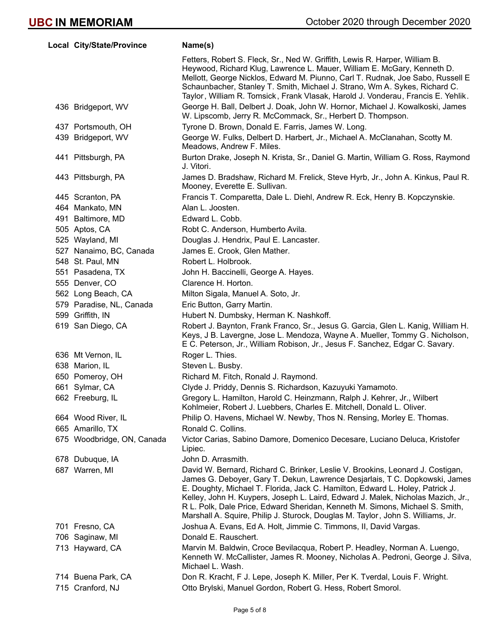| Local City/State/Province  | Name(s)                                                                                                                                                                                                                                                                                                                                                                                                                                                                                               |
|----------------------------|-------------------------------------------------------------------------------------------------------------------------------------------------------------------------------------------------------------------------------------------------------------------------------------------------------------------------------------------------------------------------------------------------------------------------------------------------------------------------------------------------------|
|                            | Fetters, Robert S. Fleck, Sr., Ned W. Griffith, Lewis R. Harper, William B.<br>Heywood, Richard Klug, Lawrence L. Mauer, William E. McGary, Kenneth D.<br>Mellott, George Nicklos, Edward M. Piunno, Carl T. Rudnak, Joe Sabo, Russell E<br>Schaunbacher, Stanley T. Smith, Michael J. Strano, Wm A. Sykes, Richard C.<br>Taylor, William R. Tomsick, Frank Vlasak, Harold J. Vonderau, Francis E. Yehlik.                                                                                            |
| 436 Bridgeport, WV         | George H. Ball, Delbert J. Doak, John W. Hornor, Michael J. Kowalkoski, James<br>W. Lipscomb, Jerry R. McCommack, Sr., Herbert D. Thompson.                                                                                                                                                                                                                                                                                                                                                           |
| 437 Portsmouth, OH         | Tyrone D. Brown, Donald E. Farris, James W. Long.                                                                                                                                                                                                                                                                                                                                                                                                                                                     |
| 439 Bridgeport, WV         | George W. Fulks, Delbert D. Harbert, Jr., Michael A. McClanahan, Scotty M.<br>Meadows, Andrew F. Miles.                                                                                                                                                                                                                                                                                                                                                                                               |
| 441 Pittsburgh, PA         | Burton Drake, Joseph N. Krista, Sr., Daniel G. Martin, William G. Ross, Raymond<br>J. Vitori.                                                                                                                                                                                                                                                                                                                                                                                                         |
| 443 Pittsburgh, PA         | James D. Bradshaw, Richard M. Frelick, Steve Hyrb, Jr., John A. Kinkus, Paul R.<br>Mooney, Everette E. Sullivan.                                                                                                                                                                                                                                                                                                                                                                                      |
| 445 Scranton, PA           | Francis T. Comparetta, Dale L. Diehl, Andrew R. Eck, Henry B. Kopczynskie.                                                                                                                                                                                                                                                                                                                                                                                                                            |
| 464 Mankato, MN            | Alan L. Joosten.                                                                                                                                                                                                                                                                                                                                                                                                                                                                                      |
| 491 Baltimore, MD          | Edward L. Cobb.                                                                                                                                                                                                                                                                                                                                                                                                                                                                                       |
| 505 Aptos, CA              | Robt C. Anderson, Humberto Avila.                                                                                                                                                                                                                                                                                                                                                                                                                                                                     |
| 525 Wayland, MI            | Douglas J. Hendrix, Paul E. Lancaster.                                                                                                                                                                                                                                                                                                                                                                                                                                                                |
| 527 Nanaimo, BC, Canada    | James E. Crook, Glen Mather.                                                                                                                                                                                                                                                                                                                                                                                                                                                                          |
| 548 St. Paul, MN           | Robert L. Holbrook.                                                                                                                                                                                                                                                                                                                                                                                                                                                                                   |
| 551 Pasadena, TX           | John H. Baccinelli, George A. Hayes.                                                                                                                                                                                                                                                                                                                                                                                                                                                                  |
| 555 Denver, CO             | Clarence H. Horton.                                                                                                                                                                                                                                                                                                                                                                                                                                                                                   |
| 562 Long Beach, CA         | Milton Sigala, Manuel A. Soto, Jr.                                                                                                                                                                                                                                                                                                                                                                                                                                                                    |
| 579 Paradise, NL, Canada   | Eric Button, Garry Martin.                                                                                                                                                                                                                                                                                                                                                                                                                                                                            |
| 599 Griffith, IN           | Hubert N. Dumbsky, Herman K. Nashkoff.                                                                                                                                                                                                                                                                                                                                                                                                                                                                |
| 619 San Diego, CA          | Robert J. Baynton, Frank Franco, Sr., Jesus G. Garcia, Glen L. Kanig, William H.<br>Keys, J B. Lavergne, Jose L. Mendoza, Wayne A. Mueller, Tommy G. Nicholson,<br>E C. Peterson, Jr., William Robison, Jr., Jesus F. Sanchez, Edgar C. Savary.                                                                                                                                                                                                                                                       |
| 636 Mt Vernon, IL          | Roger L. Thies.                                                                                                                                                                                                                                                                                                                                                                                                                                                                                       |
| 638 Marion, IL             | Steven L. Busby.                                                                                                                                                                                                                                                                                                                                                                                                                                                                                      |
| 650 Pomeroy, OH            | Richard M. Fitch, Ronald J. Raymond.                                                                                                                                                                                                                                                                                                                                                                                                                                                                  |
| 661 Sylmar, CA             | Clyde J. Priddy, Dennis S. Richardson, Kazuyuki Yamamoto.                                                                                                                                                                                                                                                                                                                                                                                                                                             |
| 662 Freeburg, IL           | Gregory L. Hamilton, Harold C. Heinzmann, Ralph J. Kehrer, Jr., Wilbert<br>Kohlmeier, Robert J. Luebbers, Charles E. Mitchell, Donald L. Oliver.                                                                                                                                                                                                                                                                                                                                                      |
| 664 Wood River, IL         | Philip O. Havens, Michael W. Newby, Thos N. Rensing, Morley E. Thomas.                                                                                                                                                                                                                                                                                                                                                                                                                                |
| 665 Amarillo, TX           | Ronald C. Collins.                                                                                                                                                                                                                                                                                                                                                                                                                                                                                    |
| 675 Woodbridge, ON, Canada | Victor Carias, Sabino Damore, Domenico Decesare, Luciano Deluca, Kristofer<br>Lipiec.                                                                                                                                                                                                                                                                                                                                                                                                                 |
| 678 Dubuque, IA            | John D. Arrasmith.                                                                                                                                                                                                                                                                                                                                                                                                                                                                                    |
| 687 Warren, MI             | David W. Bernard, Richard C. Brinker, Leslie V. Brookins, Leonard J. Costigan,<br>James G. Deboyer, Gary T. Dekun, Lawrence Desjarlais, T C. Dopkowski, James<br>E. Doughty, Michael T. Florida, Jack C. Hamilton, Edward L. Holey, Patrick J.<br>Kelley, John H. Kuypers, Joseph L. Laird, Edward J. Malek, Nicholas Mazich, Jr.,<br>R L. Polk, Dale Price, Edward Sheridan, Kenneth M. Simons, Michael S. Smith,<br>Marshall A. Squire, Philip J. Sturock, Douglas M. Taylor, John S. Williams, Jr. |
| 701 Fresno, CA             | Joshua A. Evans, Ed A. Holt, Jimmie C. Timmons, II, David Vargas.                                                                                                                                                                                                                                                                                                                                                                                                                                     |
| 706 Saginaw, MI            | Donald E. Rauschert.                                                                                                                                                                                                                                                                                                                                                                                                                                                                                  |
| 713 Hayward, CA            | Marvin M. Baldwin, Croce Bevilacqua, Robert P. Headley, Norman A. Luengo,<br>Kenneth W. McCallister, James R. Mooney, Nicholas A. Pedroni, George J. Silva,<br>Michael L. Wash.                                                                                                                                                                                                                                                                                                                       |
| 714 Buena Park, CA         | Don R. Kracht, F J. Lepe, Joseph K. Miller, Per K. Tverdal, Louis F. Wright.                                                                                                                                                                                                                                                                                                                                                                                                                          |
| 715 Cranford, NJ           | Otto Brylski, Manuel Gordon, Robert G. Hess, Robert Smorol.                                                                                                                                                                                                                                                                                                                                                                                                                                           |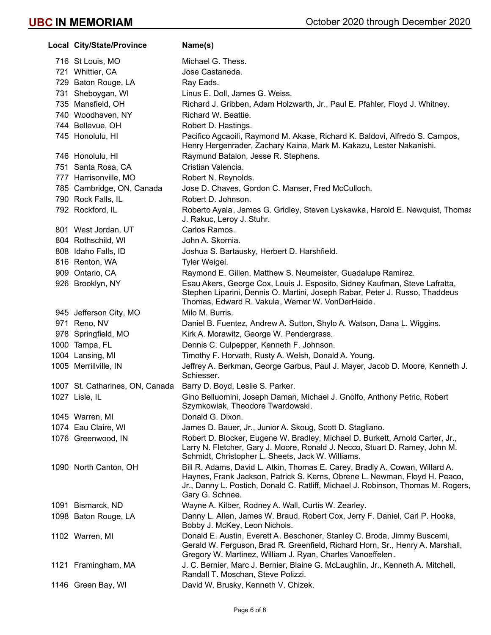| Local City/State/Province       | Name(s)                                                                                                                                                                                                                                                          |
|---------------------------------|------------------------------------------------------------------------------------------------------------------------------------------------------------------------------------------------------------------------------------------------------------------|
| 716 St Louis, MO                | Michael G. Thess.                                                                                                                                                                                                                                                |
| 721 Whittier, CA                | Jose Castaneda.                                                                                                                                                                                                                                                  |
| 729 Baton Rouge, LA             | Ray Eads.                                                                                                                                                                                                                                                        |
| 731 Sheboygan, WI               | Linus E. Doll, James G. Weiss.                                                                                                                                                                                                                                   |
| 735 Mansfield, OH               | Richard J. Gribben, Adam Holzwarth, Jr., Paul E. Pfahler, Floyd J. Whitney.                                                                                                                                                                                      |
| 740 Woodhaven, NY               | Richard W. Beattie.                                                                                                                                                                                                                                              |
| 744 Bellevue, OH                | Robert D. Hastings.                                                                                                                                                                                                                                              |
| 745 Honolulu, HI                | Pacifico Agcaoili, Raymond M. Akase, Richard K. Baldovi, Alfredo S. Campos,<br>Henry Hergenrader, Zachary Kaina, Mark M. Kakazu, Lester Nakanishi.                                                                                                               |
| 746 Honolulu, HI                | Raymund Batalon, Jesse R. Stephens.                                                                                                                                                                                                                              |
| 751 Santa Rosa, CA              | Cristian Valencia.                                                                                                                                                                                                                                               |
| 777 Harrisonville, MO           | Robert N. Reynolds.                                                                                                                                                                                                                                              |
| 785 Cambridge, ON, Canada       | Jose D. Chaves, Gordon C. Manser, Fred McCulloch.                                                                                                                                                                                                                |
| 790 Rock Falls, IL              | Robert D. Johnson.                                                                                                                                                                                                                                               |
| 792 Rockford, IL                | Roberto Ayala, James G. Gridley, Steven Lyskawka, Harold E. Newquist, Thomas<br>J. Rakuc, Leroy J. Stuhr.                                                                                                                                                        |
| 801 West Jordan, UT             | Carlos Ramos.                                                                                                                                                                                                                                                    |
| 804 Rothschild, WI              | John A. Skornia.                                                                                                                                                                                                                                                 |
| 808 Idaho Falls, ID             | Joshua S. Bartausky, Herbert D. Harshfield.                                                                                                                                                                                                                      |
| 816 Renton, WA                  | Tyler Weigel.                                                                                                                                                                                                                                                    |
| 909 Ontario, CA                 | Raymond E. Gillen, Matthew S. Neumeister, Guadalupe Ramirez.                                                                                                                                                                                                     |
| 926 Brooklyn, NY                | Esau Akers, George Cox, Louis J. Esposito, Sidney Kaufman, Steve Lafratta,<br>Stephen Liparini, Dennis O. Martini, Joseph Rabar, Peter J. Russo, Thaddeus<br>Thomas, Edward R. Vakula, Werner W. VonDerHeide.                                                    |
| 945 Jefferson City, MO          | Milo M. Burris.                                                                                                                                                                                                                                                  |
| 971 Reno, NV                    | Daniel B. Fuentez, Andrew A. Sutton, Shylo A. Watson, Dana L. Wiggins.                                                                                                                                                                                           |
| 978 Springfield, MO             | Kirk A. Morawitz, George W. Pendergrass.                                                                                                                                                                                                                         |
| 1000 Tampa, FL                  | Dennis C. Culpepper, Kenneth F. Johnson.                                                                                                                                                                                                                         |
| 1004 Lansing, MI                | Timothy F. Horvath, Rusty A. Welsh, Donald A. Young.                                                                                                                                                                                                             |
| 1005 Merrillville, IN           | Jeffrey A. Berkman, George Garbus, Paul J. Mayer, Jacob D. Moore, Kenneth J.<br>Schiesser.                                                                                                                                                                       |
| 1007 St. Catharines, ON, Canada | Barry D. Boyd, Leslie S. Parker.                                                                                                                                                                                                                                 |
| 1027 Lisle, IL                  | Gino Belluomini, Joseph Daman, Michael J. Gnolfo, Anthony Petric, Robert<br>Szymkowiak, Theodore Twardowski.                                                                                                                                                     |
| 1045 Warren, MI                 | Donald G. Dixon.                                                                                                                                                                                                                                                 |
| 1074 Eau Claire, WI             | James D. Bauer, Jr., Junior A. Skoug, Scott D. Stagliano.                                                                                                                                                                                                        |
| 1076 Greenwood, IN              | Robert D. Blocker, Eugene W. Bradley, Michael D. Burkett, Arnold Carter, Jr.,<br>Larry N. Fletcher, Gary J. Moore, Ronald J. Necco, Stuart D. Ramey, John M.<br>Schmidt, Christopher L. Sheets, Jack W. Williams.                                                |
| 1090 North Canton, OH           | Bill R. Adams, David L. Atkin, Thomas E. Carey, Bradly A. Cowan, Willard A.<br>Haynes, Frank Jackson, Patrick S. Kerns, Obrene L. Newman, Floyd H. Peaco,<br>Jr., Danny L. Postich, Donald C. Ratliff, Michael J. Robinson, Thomas M. Rogers,<br>Gary G. Schnee. |
| 1091 Bismarck, ND               | Wayne A. Kilber, Rodney A. Wall, Curtis W. Zearley.                                                                                                                                                                                                              |
| 1098 Baton Rouge, LA            | Danny L. Allen, James W. Braud, Robert Cox, Jerry F. Daniel, Carl P. Hooks,<br>Bobby J. McKey, Leon Nichols.                                                                                                                                                     |
| 1102 Warren, MI                 | Donald E. Austin, Everett A. Beschoner, Stanley C. Broda, Jimmy Buscemi,<br>Gerald W. Ferguson, Brad R. Greenfield, Richard Horn, Sr., Henry A. Marshall,<br>Gregory W. Martinez, William J. Ryan, Charles Vanoeffelen.                                          |
| 1121 Framingham, MA             | J. C. Bernier, Marc J. Bernier, Blaine G. McLaughlin, Jr., Kenneth A. Mitchell,<br>Randall T. Moschan, Steve Polizzi.                                                                                                                                            |
| 1146 Green Bay, WI              | David W. Brusky, Kenneth V. Chizek.                                                                                                                                                                                                                              |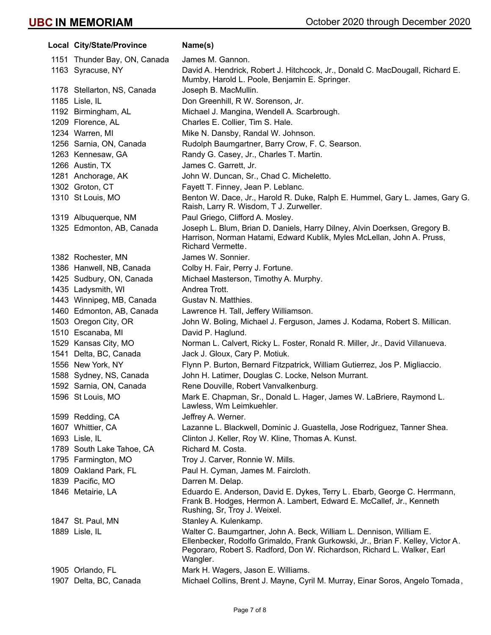| Local City/State/Province    | Name(s)                                                                                                                                                                                                                                        |
|------------------------------|------------------------------------------------------------------------------------------------------------------------------------------------------------------------------------------------------------------------------------------------|
| 1151 Thunder Bay, ON, Canada | James M. Gannon.                                                                                                                                                                                                                               |
| 1163 Syracuse, NY            | David A. Hendrick, Robert J. Hitchcock, Jr., Donald C. MacDougall, Richard E.<br>Mumby, Harold L. Poole, Benjamin E. Springer.                                                                                                                 |
| 1178 Stellarton, NS, Canada  | Joseph B. MacMullin.                                                                                                                                                                                                                           |
| 1185 Lisle, IL               | Don Greenhill, R W. Sorenson, Jr.                                                                                                                                                                                                              |
| 1192 Birmingham, AL          | Michael J. Mangina, Wendell A. Scarbrough.                                                                                                                                                                                                     |
| 1209 Florence, AL            | Charles E. Collier, Tim S. Hale.                                                                                                                                                                                                               |
| 1234 Warren, MI              | Mike N. Dansby, Randal W. Johnson.                                                                                                                                                                                                             |
| 1256 Sarnia, ON, Canada      | Rudolph Baumgartner, Barry Crow, F. C. Searson.                                                                                                                                                                                                |
| 1263 Kennesaw, GA            | Randy G. Casey, Jr., Charles T. Martin.                                                                                                                                                                                                        |
| 1266 Austin, TX              | James C. Garrett, Jr.                                                                                                                                                                                                                          |
| 1281 Anchorage, AK           | John W. Duncan, Sr., Chad C. Micheletto.                                                                                                                                                                                                       |
| 1302 Groton, CT              | Fayett T. Finney, Jean P. Leblanc.                                                                                                                                                                                                             |
| 1310 St Louis, MO            | Benton W. Dace, Jr., Harold R. Duke, Ralph E. Hummel, Gary L. James, Gary G.<br>Raish, Larry R. Wisdom, T J. Zurweller.                                                                                                                        |
| 1319 Albuquerque, NM         | Paul Griego, Clifford A. Mosley.                                                                                                                                                                                                               |
| 1325 Edmonton, AB, Canada    | Joseph L. Blum, Brian D. Daniels, Harry Dilney, Alvin Doerksen, Gregory B.<br>Harrison, Norman Hatami, Edward Kublik, Myles McLellan, John A. Pruss,<br>Richard Vermette.                                                                      |
| 1382 Rochester, MN           | James W. Sonnier.                                                                                                                                                                                                                              |
| 1386 Hanwell, NB, Canada     | Colby H. Fair, Perry J. Fortune.                                                                                                                                                                                                               |
| 1425 Sudbury, ON, Canada     | Michael Masterson, Timothy A. Murphy.                                                                                                                                                                                                          |
| 1435 Ladysmith, WI           | Andrea Trott.                                                                                                                                                                                                                                  |
| 1443 Winnipeg, MB, Canada    | Gustav N. Matthies.                                                                                                                                                                                                                            |
| 1460 Edmonton, AB, Canada    | Lawrence H. Tall, Jeffery Williamson.                                                                                                                                                                                                          |
| 1503 Oregon City, OR         | John W. Boling, Michael J. Ferguson, James J. Kodama, Robert S. Millican.                                                                                                                                                                      |
| 1510 Escanaba, MI            | David P. Haglund.                                                                                                                                                                                                                              |
| 1529 Kansas City, MO         | Norman L. Calvert, Ricky L. Foster, Ronald R. Miller, Jr., David Villanueva.                                                                                                                                                                   |
| 1541 Delta, BC, Canada       | Jack J. Gloux, Cary P. Motiuk.                                                                                                                                                                                                                 |
| 1556 New York, NY            | Flynn P. Burton, Bernard Fitzpatrick, William Gutierrez, Jos P. Migliaccio.                                                                                                                                                                    |
| 1588 Sydney, NS, Canada      | John H. Latimer, Douglas C. Locke, Nelson Murrant.                                                                                                                                                                                             |
| 1592 Sarnia, ON, Canada      | Rene Douville, Robert Vanvalkenburg.                                                                                                                                                                                                           |
| 1596 St Louis, MO            | Mark E. Chapman, Sr., Donald L. Hager, James W. LaBriere, Raymond L.<br>Lawless, Wm Leimkuehler.                                                                                                                                               |
| 1599 Redding, CA             | Jeffrey A. Werner.                                                                                                                                                                                                                             |
| 1607 Whittier, CA            | Lazanne L. Blackwell, Dominic J. Guastella, Jose Rodriguez, Tanner Shea.                                                                                                                                                                       |
| 1693 Lisle, IL               | Clinton J. Keller, Roy W. Kline, Thomas A. Kunst.                                                                                                                                                                                              |
| 1789 South Lake Tahoe, CA    | Richard M. Costa.                                                                                                                                                                                                                              |
| 1795 Farmington, MO          | Troy J. Carver, Ronnie W. Mills.                                                                                                                                                                                                               |
| 1809 Oakland Park, FL        | Paul H. Cyman, James M. Faircloth.                                                                                                                                                                                                             |
| 1839 Pacific, MO             | Darren M. Delap.                                                                                                                                                                                                                               |
| 1846 Metairie, LA            | Eduardo E. Anderson, David E. Dykes, Terry L. Ebarb, George C. Herrmann,<br>Frank B. Hodges, Hermon A. Lambert, Edward E. McCallef, Jr., Kenneth<br>Rushing, Sr, Troy J. Weixel.                                                               |
| 1847 St. Paul, MN            | Stanley A. Kulenkamp.                                                                                                                                                                                                                          |
| 1889 Lisle, IL               | Walter C. Baumgartner, John A. Beck, William L. Dennison, William E.<br>Ellenbecker, Rodolfo Grimaldo, Frank Gurkowski, Jr., Brian F. Kelley, Victor A.<br>Pegoraro, Robert S. Radford, Don W. Richardson, Richard L. Walker, Earl<br>Wangler. |
| 1905 Orlando, FL             | Mark H. Wagers, Jason E. Williams.                                                                                                                                                                                                             |
| 1907 Delta, BC, Canada       | Michael Collins, Brent J. Mayne, Cyril M. Murray, Einar Soros, Angelo Tomada,                                                                                                                                                                  |